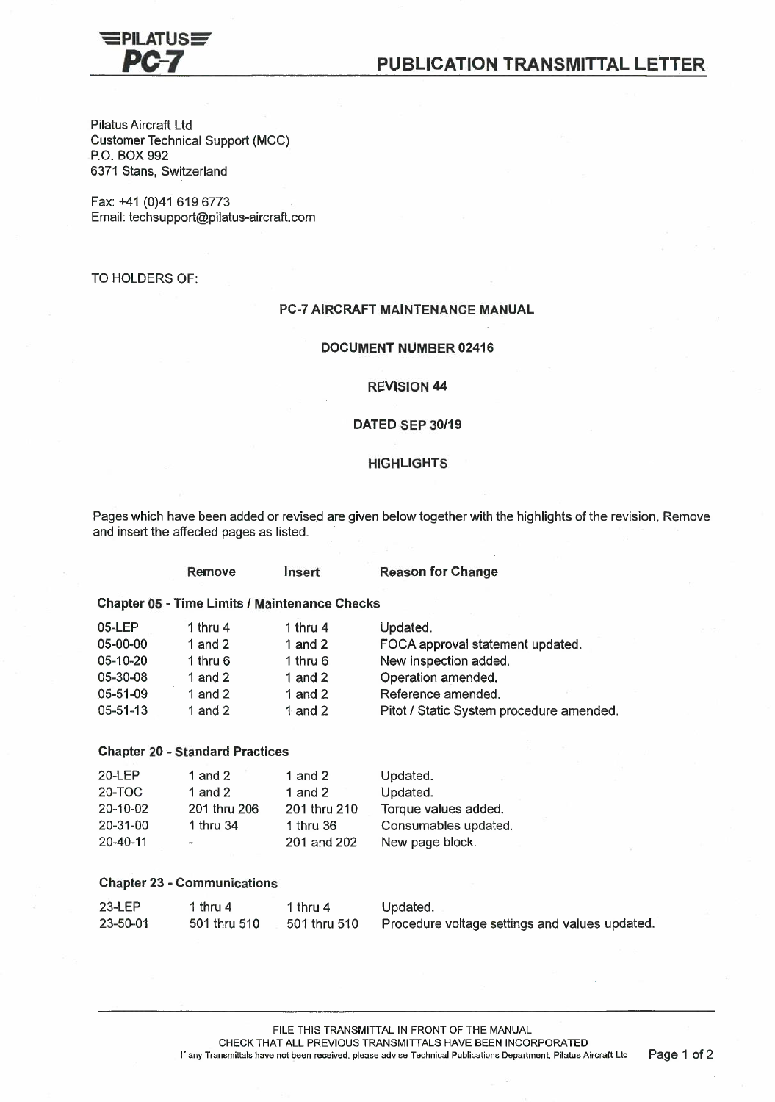

# **PUBLICATION TRANSMITTAL LETTER**

Pilatus Aircraft Ltd Customer Technical Support (MCC) P.O. BOX 992 6371 Stans, Switzerland

Fax: +41 (0)41 619 6773 Email: techsupport@pilatus-aircraft.com

### TO HOLDERS OF:

### **PC-7 AIRCRAFT MAINTENANCE MANUAL**

#### **DOCUMENT NUMBER 02416**

### **REVISION 44**

#### **DATED SEP 30/19**

#### **HIGHLIGHTS**

Pages which have been added or revised are given below together with the highlights of the revision. Remove and insert the affected pages as listed.

|                | Remove                                 | Insert                                               | <b>Reason for Change</b>                 |  |
|----------------|----------------------------------------|------------------------------------------------------|------------------------------------------|--|
|                |                                        | <b>Chapter 05 - Time Limits / Maintenance Checks</b> |                                          |  |
| 05-LEP         | 1 thru $4$                             | 1 thru $4$                                           | Updated.                                 |  |
| 05-00-00       | 1 and 2                                | 1 and 2                                              | FOCA approval statement updated.         |  |
| 05-10-20       | 1 thru 6                               | 1 thru 6                                             | New inspection added.                    |  |
| 05-30-08       | 1 and 2                                | 1 and $2$                                            | Operation amended.                       |  |
| 05-51-09       | 1 and $2$                              | 1 and $2$                                            | Reference amended.                       |  |
| $05 - 51 - 13$ | 1 and 2                                | 1 and 2                                              | Pitot / Static System procedure amended. |  |
|                | <b>Chapter 20 - Standard Practices</b> |                                                      |                                          |  |

| 20-LEP   | 1 and 2      | 1 and 2      | Updated.             |  |
|----------|--------------|--------------|----------------------|--|
| 20-TOC   | 1 and 2      | 1 and 2      | Updated.             |  |
| 20-10-02 | 201 thru 206 | 201 thru 210 | Torque values added. |  |
| 20-31-00 | 1 thru 34    | 1 thru 36    | Consumables updated. |  |
| 20-40-11 | $\sim$       | 201 and 202  | New page block.      |  |

#### **Chapter 23 - Communications**

| $23$ -LEP | 1 thru 4     | 1 thru 4     | Updated.                                       |
|-----------|--------------|--------------|------------------------------------------------|
| 23-50-01  | 501 thru 510 | 501 thru 510 | Procedure voltage settings and values updated. |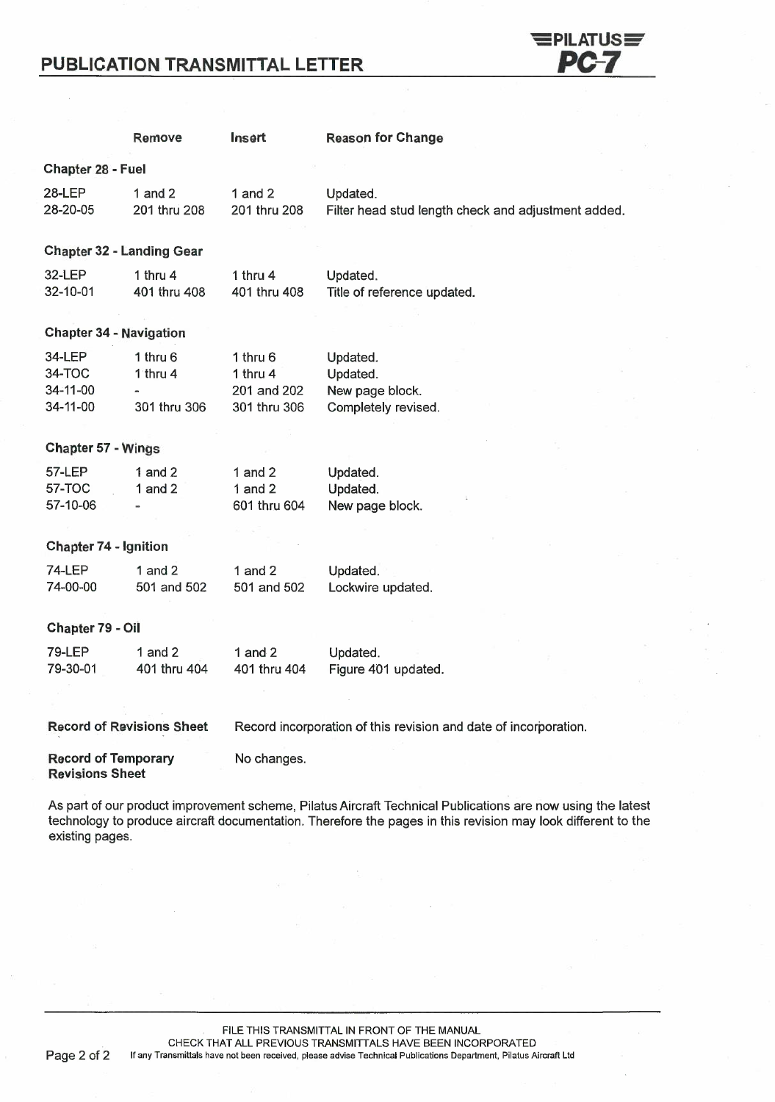# **PUBLICATION TRANSMITTAL LETTER**



|                                                      | Remove                                 | Insert                                                | <b>Reason for Change</b>                                         |
|------------------------------------------------------|----------------------------------------|-------------------------------------------------------|------------------------------------------------------------------|
| Chapter 28 - Fuel                                    |                                        |                                                       |                                                                  |
| 28-LEP<br>28-20-05                                   | 1 and $2$<br>201 thru 208              | 1 and $2$<br>201 thru 208                             | Updated.<br>Filter head stud length check and adjustment added.  |
| <b>Chapter 32 - Landing Gear</b>                     |                                        |                                                       |                                                                  |
| 32-LEP<br>32-10-01                                   | 1 thru $4$<br>401 thru 408             | 1 thru 4<br>401 thru 408                              | Updated.<br>Title of reference updated.                          |
| <b>Chapter 34 - Navigation</b>                       |                                        |                                                       |                                                                  |
| 34-LEP<br>34-TOC<br>34-11-00<br>34-11-00             | 1 thru 6<br>1 thru $4$<br>301 thru 306 | 1 thru 6<br>1 thru $4$<br>201 and 202<br>301 thru 306 | Updated.<br>Updated.<br>New page block.<br>Completely revised.   |
| <b>Chapter 57 - Wings</b>                            |                                        |                                                       |                                                                  |
| 57-LEP<br>57-TOC<br>57-10-06                         | 1 and $2$<br>1 and $2$                 | 1 and $2$<br>1 and $2$<br>601 thru 604                | Updated.<br>Updated.<br>New page block.                          |
| <b>Chapter 74 - Ignition</b>                         |                                        |                                                       |                                                                  |
| 74-LEP<br>74-00-00                                   | 1 and $2$<br>501 and 502               | 1 and 2 $\,$<br>501 and 502                           | Updated.<br>Lockwire updated.                                    |
| Chapter 79 - Oil                                     |                                        |                                                       |                                                                  |
| 79-LEP<br>79-30-01                                   | 1 and $2$<br>401 thru 404              | 1 and 2<br>401 thru 404                               | Updated.<br>Figure 401 updated.                                  |
| <b>Record of Revisions Sheet</b>                     |                                        |                                                       | Record incorporation of this revision and date of incorporation. |
| <b>Record of Temporary</b><br><b>Revisions Sheet</b> |                                        | No changes.                                           |                                                                  |

As part of our product improvement scheme, Pilatus Aircraft Technical Publications are now using the latest technology to produce aircraft documentation. Therefore the pages in this revision may lock different to the existing pages.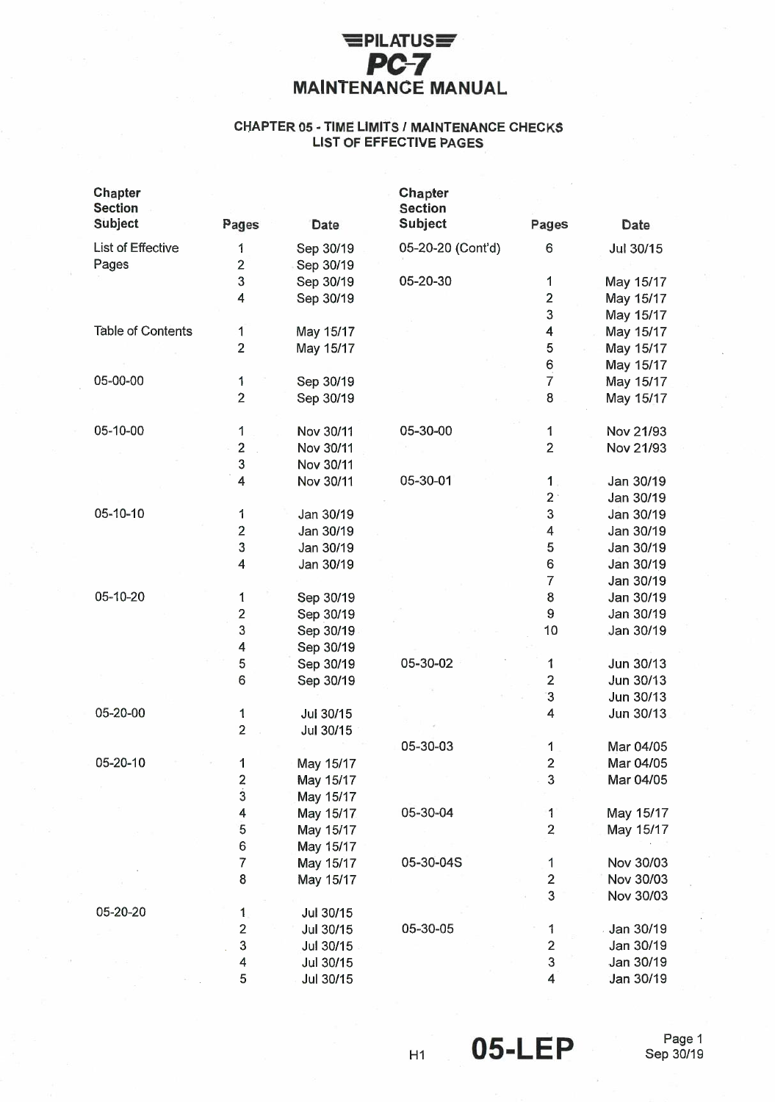# **EPILATUSE** *PC-7*  **MAINTENANCE MANUAL**

## **CHAPTER 05 - TIME LIMITS / MAINTENANCE CHECKS LIST OF EFFECTIVE PAGE\$**

| Chapter<br><b>Section</b> |                         |           | Chapter<br><b>Section</b> |                         |           |
|---------------------------|-------------------------|-----------|---------------------------|-------------------------|-----------|
| Subject                   | Pages                   | Date      | <b>Subject</b>            | Pages                   | Date      |
| List of Effective         | 1                       | Sep 30/19 | 05-20-20 (Cont'd)         | 6                       | Jul 30/15 |
| Pages                     | $\overline{2}$          | Sep 30/19 |                           |                         |           |
|                           | 3                       | Sep 30/19 | 05-20-30                  | 1                       | May 15/17 |
|                           | 4                       | Sep 30/19 |                           | $\overline{\mathbf{c}}$ | May 15/17 |
|                           |                         |           |                           | 3                       | May 15/17 |
| <b>Table of Contents</b>  | 1                       | May 15/17 |                           | 4                       | May 15/17 |
|                           | $\overline{2}$          | May 15/17 |                           | 5                       | May 15/17 |
|                           |                         |           |                           | $6 \overline{6}$        | May 15/17 |
| 05-00-00                  | 1                       | Sep 30/19 |                           | $\overline{7}$          | May 15/17 |
|                           | $\overline{2}$          | Sep 30/19 |                           | 8                       | May 15/17 |
| 05-10-00                  | 1                       | Nov 30/11 | 05-30-00                  | 1                       | Nov 21/93 |
|                           | $\overline{2}$          | Nov 30/11 |                           | $\overline{2}$          | Nov 21/93 |
|                           | 3                       | Nov 30/11 |                           |                         |           |
|                           | 4                       | Nov 30/11 | 05-30-01                  | 1.                      | Jan 30/19 |
|                           |                         |           |                           | $2^+$                   | Jan 30/19 |
| 05-10-10                  | 1                       | Jan 30/19 |                           | 3                       | Jan 30/19 |
|                           | $\overline{2}$          | Jan 30/19 |                           | 4                       | Jan 30/19 |
|                           | 3                       | Jan 30/19 |                           | 5                       | Jan 30/19 |
|                           | 4                       | Jan 30/19 |                           | 6                       | Jan 30/19 |
|                           |                         |           |                           | $\overline{7}$          | Jan 30/19 |
| 05-10-20                  | 1                       | Sep 30/19 |                           | 8                       | Jan 30/19 |
|                           | $\overline{\mathbf{c}}$ | Sep 30/19 |                           | $\boldsymbol{9}$        | Jan 30/19 |
|                           | 3                       | Sep 30/19 |                           | 10                      | Jan 30/19 |
|                           | 4                       | Sep 30/19 |                           |                         |           |
|                           | 5                       | Sep 30/19 | 05-30-02                  | 1                       | Jun 30/13 |
|                           | 6                       | Sep 30/19 |                           | $\overline{2}$          | Jun 30/13 |
|                           |                         |           |                           | 3                       | Jun 30/13 |
| 05-20-00                  | 1                       | Jul 30/15 |                           | 4                       | Jun 30/13 |
|                           | $\overline{2}$          | Jul 30/15 |                           |                         |           |
|                           |                         |           | 05-30-03                  | 1                       | Mar 04/05 |
| 05-20-10                  | 1                       | May 15/17 |                           | $\overline{2}$          | Mar 04/05 |
|                           |                         | May 15/17 |                           | 3                       | Mar 04/05 |
|                           | $\frac{2}{3}$           | May 15/17 |                           |                         |           |
|                           | 4                       | May 15/17 | 05-30-04                  | $\mathbf{1}$            | May 15/17 |
|                           | 5                       | May 15/17 |                           | $\overline{2}$          | May 15/17 |
|                           | 6                       | May 15/17 |                           |                         |           |
|                           | $\overline{7}$          | May 15/17 | 05-30-04S                 | $\mathbf{1}$            | Nov 30/03 |
|                           | 8                       | May 15/17 |                           | $\overline{2}$          | Nov 30/03 |
|                           |                         |           |                           | 3                       | Nov 30/03 |
| 05-20-20                  | $\mathbf{1}$            | Jul 30/15 |                           |                         |           |
|                           | 2                       | Jul 30/15 | 05-30-05                  | 1                       | Jan 30/19 |
|                           | 3                       | Jul 30/15 |                           | $\overline{\mathbf{c}}$ | Jan 30/19 |
|                           | 4                       | Jul 30/15 |                           | 3                       | Jan 30/19 |
|                           | 5                       | Jul 30/15 |                           | $\overline{\mathbf{4}}$ | Jan 30/19 |

**H1 05-LEP** 

Page 1<br>Sep 30/19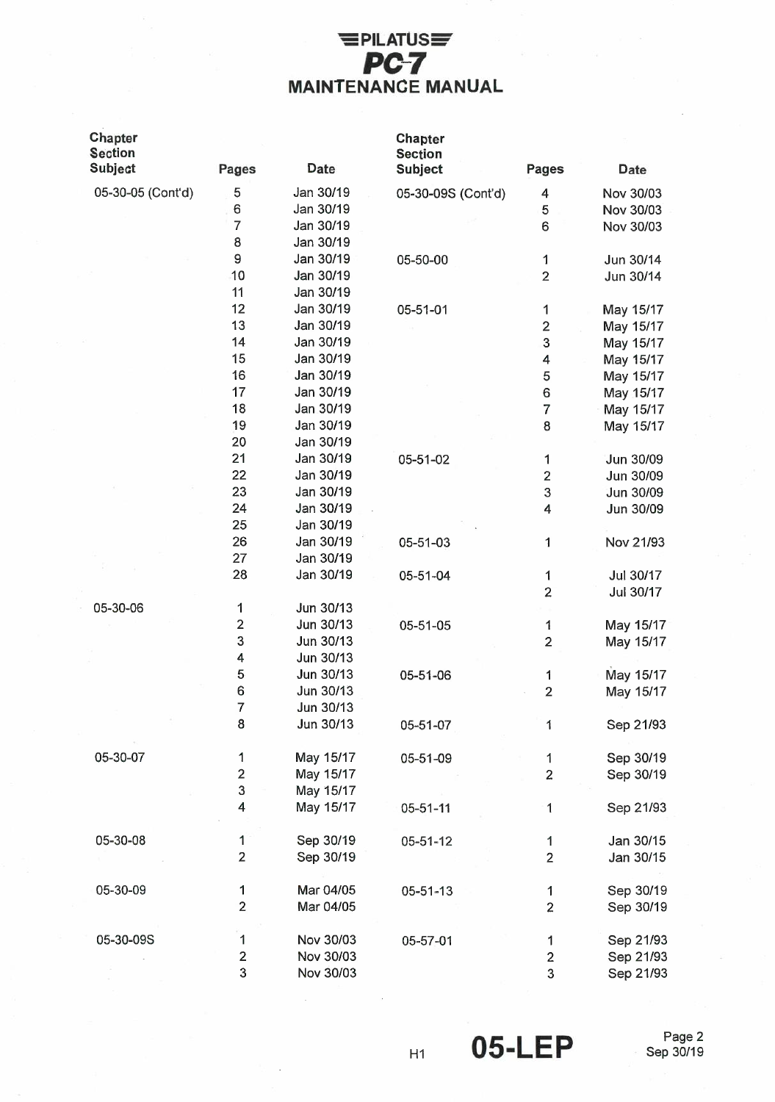# $E$ PILATUS $E$ *PC-7*  **MAINTENANCE MANUAL**

| Chapter<br><b>Section</b> |                         |           | <b>Chapter</b><br><b>Section</b> |                         |                        |
|---------------------------|-------------------------|-----------|----------------------------------|-------------------------|------------------------|
| Subject                   | Pages                   | Date      | <b>Subject</b>                   | <b>Pages</b>            | Date                   |
| 05-30-05 (Cont'd)         | 5                       | Jan 30/19 | 05-30-09S (Cont'd)               | 4                       | Nov 30/03              |
|                           | 6                       | Jan 30/19 |                                  | 5                       | Nov 30/03              |
|                           | $\overline{7}$          | Jan 30/19 |                                  | 6                       | Nov 30/03              |
|                           | 8                       | Jan 30/19 |                                  |                         |                        |
|                           | $\overline{9}$          | Jan 30/19 | 05-50-00                         | 1                       | Jun 30/14              |
|                           | 10                      | Jan 30/19 |                                  | $\overline{2}$          | Jun 30/14              |
|                           | 11                      | Jan 30/19 |                                  |                         |                        |
|                           | 12                      | Jan 30/19 | 05-51-01                         | 1                       | May 15/17              |
|                           | 13                      | Jan 30/19 |                                  | $\mathbf{2}$            | May 15/17              |
|                           | 14                      | Jan 30/19 |                                  | 3                       | May 15/17              |
|                           | 15                      | Jan 30/19 |                                  | 4                       | May 15/17              |
|                           | 16                      | Jan 30/19 |                                  | 5                       | May 15/17              |
|                           | 17                      | Jan 30/19 |                                  | 6                       | May 15/17              |
|                           | 18                      | Jan 30/19 |                                  | $\overline{7}$          | May 15/17              |
|                           | 19                      | Jan 30/19 |                                  | 8                       | May 15/17              |
|                           | 20                      | Jan 30/19 |                                  |                         |                        |
|                           | 21                      | Jan 30/19 | 05-51-02                         | $\mathbf{1}$            | Jun 30/09              |
|                           | 22                      | Jan 30/19 |                                  | $\overline{\mathbf{c}}$ | Jun 30/09              |
|                           | 23                      | Jan 30/19 |                                  | 3                       | Jun 30/09              |
|                           | 24                      | Jan 30/19 |                                  | 4                       | Jun 30/09              |
|                           | 25                      | Jan 30/19 |                                  |                         |                        |
|                           | 26                      | Jan 30/19 | 05-51-03                         | 1                       | Nov 21/93              |
|                           | 27                      | Jan 30/19 |                                  |                         |                        |
|                           | 28                      | Jan 30/19 | 05-51-04                         | 1<br>$\overline{2}$     | Jul 30/17<br>Jul 30/17 |
| 05-30-06                  | 1                       | Jun 30/13 |                                  |                         |                        |
|                           | $\overline{\mathbf{c}}$ | Jun 30/13 | 05-51-05                         | 1                       | May 15/17              |
|                           | 3                       | Jun 30/13 |                                  | $\overline{2}$          | May 15/17              |
|                           | $\overline{\mathbf{4}}$ | Jun 30/13 |                                  |                         |                        |
|                           | 5                       | Jun 30/13 | 05-51-06                         | 1                       | May 15/17              |
|                           | 6                       | Jun 30/13 |                                  | $\overline{2}$          | May 15/17              |
|                           | $\overline{7}$          | Jun 30/13 |                                  |                         |                        |
|                           | 8                       | Jun 30/13 | 05-51-07                         | 1                       | Sep 21/93              |
| 05-30-07                  | 1                       | May 15/17 | 05-51-09                         | 1                       | Sep 30/19              |
|                           | $\overline{2}$          | May 15/17 |                                  | $\overline{c}$          | Sep 30/19              |
|                           | 3                       | May 15/17 |                                  |                         |                        |
|                           | 4                       | May 15/17 | $05 - 51 - 11$                   | 1                       | Sep 21/93              |
|                           |                         |           |                                  |                         |                        |
| 05-30-08                  | $\mathbf{1}$            | Sep 30/19 | $05 - 51 - 12$                   | 1                       | Jan 30/15              |
|                           | $\overline{2}$          | Sep 30/19 |                                  | $\overline{2}$          | Jan 30/15              |
|                           |                         |           |                                  |                         |                        |
| 05-30-09                  | 1                       | Mar 04/05 | $05 - 51 - 13$                   | 1                       | Sep 30/19              |
|                           | $\overline{2}$          | Mar 04/05 |                                  | $\overline{2}$          | Sep 30/19              |
| 05-30-09S                 | 1                       | Nov 30/03 | 05-57-01                         | 1                       | Sep 21/93              |
|                           | $\overline{\mathbf{c}}$ | Nov 30/03 |                                  | $\overline{\mathbf{c}}$ | Sep 21/93              |
|                           | 3                       | Nov 30/03 |                                  | 3                       | Sep 21/93              |

Page 2<br>Sep 30/19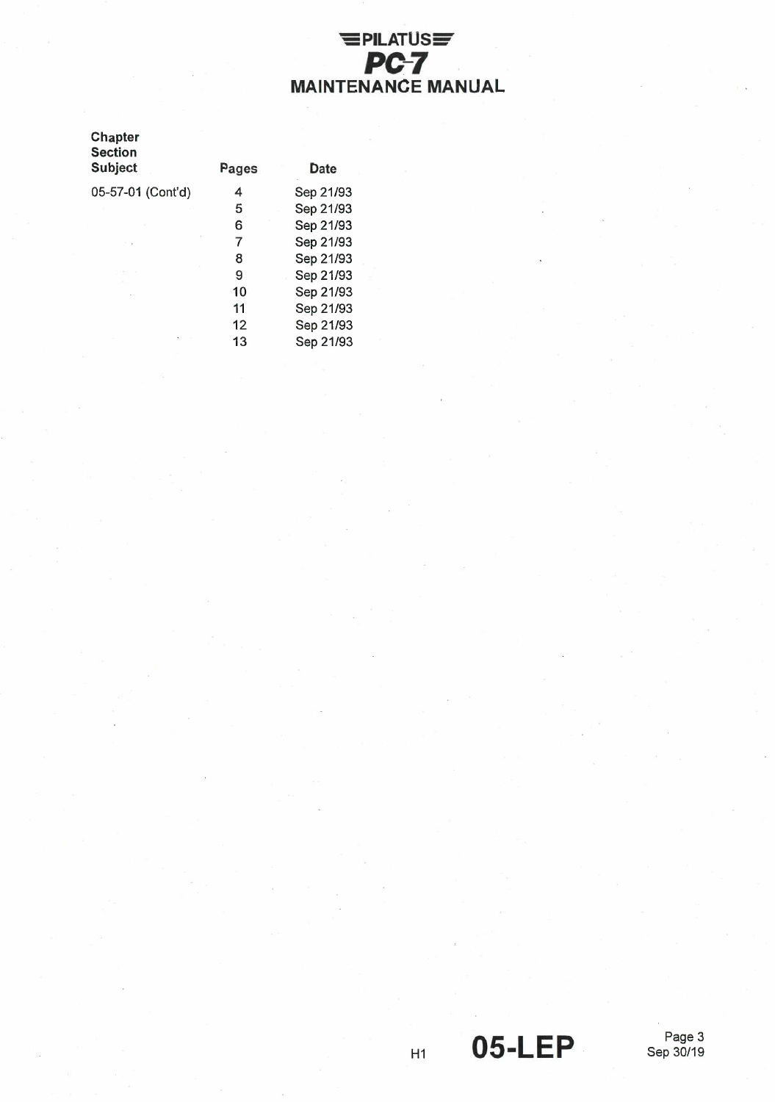# $E$  PILATUS $E$ *PC-7*  **MAINTENANCE MANUAL**

| Chapter<br>Section<br>Subject | Pages | Date      |
|-------------------------------|-------|-----------|
| 05-57-01 (Cont'd)             | 4     | Sep 21/93 |
|                               | 5     | Sep 21/93 |
|                               | 6     | Sep 21/93 |
|                               | 7     | Sep 21/93 |
|                               | 8     | Sep 21/93 |
|                               | 9     | Sep 21/93 |
|                               | 10    | Sep 21/93 |
|                               | 11    | Sep 21/93 |
|                               | 12    | Sep 21/93 |
|                               | 13    | Sep 21/93 |
|                               |       |           |

Page 3<br>Sep 30/19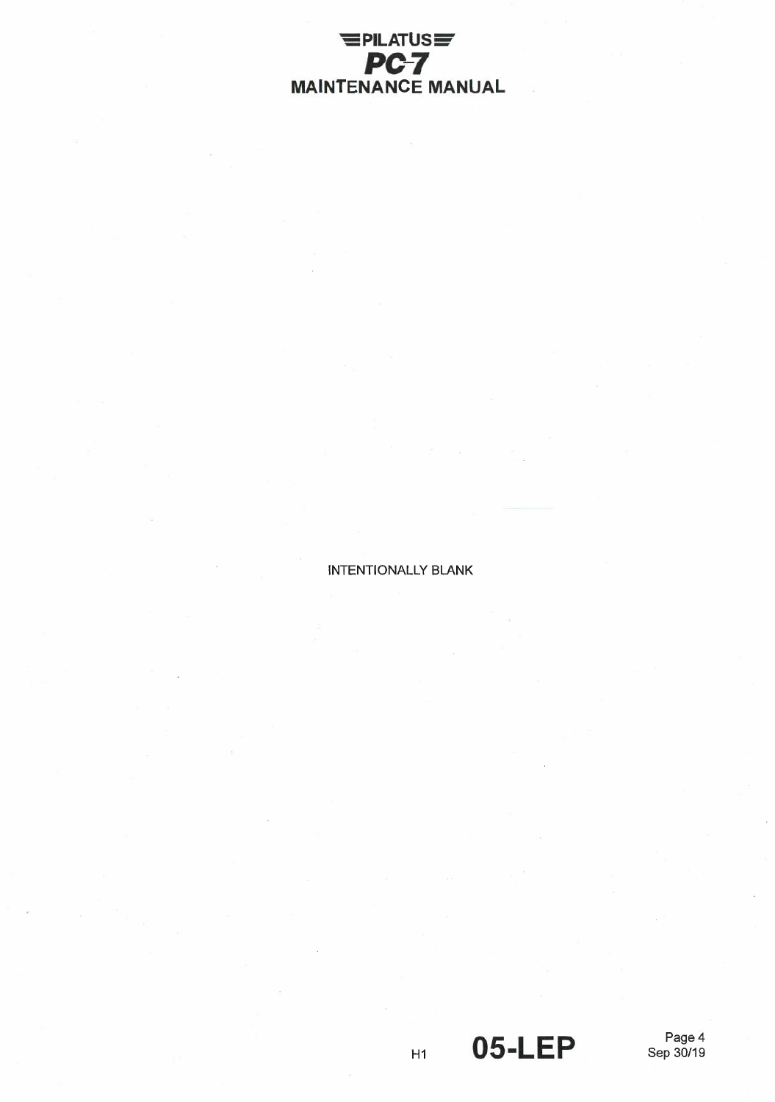# **SPILATUS** *PC-7*  **MAINTENANCE MANUAL**

## INTENTIONALLY BLANK

# **H1 05-LEP**

Page 4<br>Sep 30/19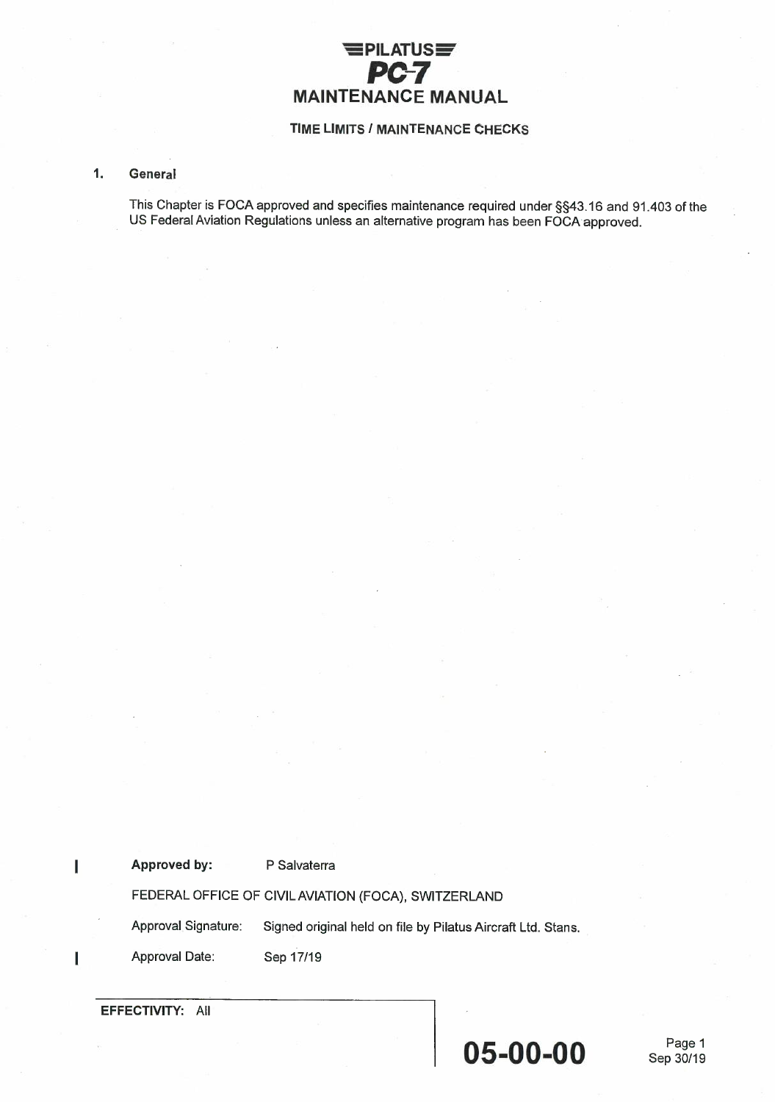# **"e PILATUS 55F'**  *PC-7*  **MAINTENANCE MANUAL**

#### **TIME LIMITS / MAINTENANCE CHECKS**

## **1. General**

This Chapter is FOCA approved and specifies maintenance required under §§43.16 and 91.403 of the US Federal Aviation Regulations unless an alternative program has been FOCA approved.

 $\mathbf{I}$ 

1

## **Approved by:** P Salvaterra

FEDERAL OFFICE OF CIVILAVIATION (FOCA), SWITZERLAND

Approval Signature: Signed original held on file by Pilatus Aircraft Ltd. Stans.

Approval Date: Sep 17/19

**EFFECTIVITY:** All

# **05-00-00 Page 1**<br>Sep 30/19

Sep 30/19